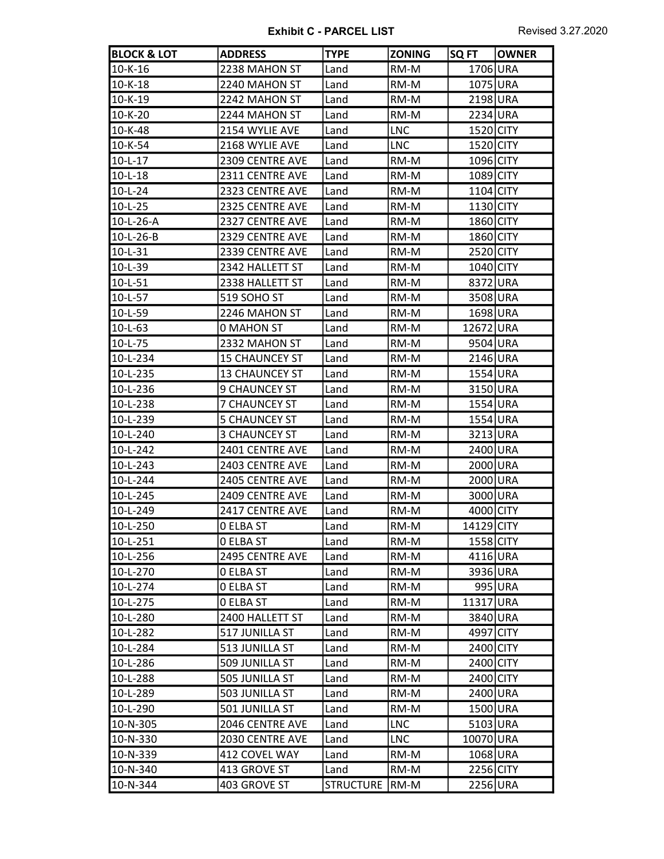| <b>BLOCK &amp; LOT</b> | <b>ADDRESS</b>        | <b>TYPE</b>      | <b>ZONING</b> | SQ FT      | <b>OWNER</b> |
|------------------------|-----------------------|------------------|---------------|------------|--------------|
| $10 - K - 16$          | 2238 MAHON ST         | Land             | RM-M          | 1706 URA   |              |
| $10 - K - 18$          | 2240 MAHON ST         | Land             | RM-M          | 1075 URA   |              |
| $10 - K - 19$          | 2242 MAHON ST         | Land             | RM-M          | 2198 URA   |              |
| 10-K-20                | 2244 MAHON ST         | Land             | RM-M          | 2234 URA   |              |
| 10-K-48                | 2154 WYLIE AVE        | Land             | <b>LNC</b>    | 1520 CITY  |              |
| 10-K-54                | 2168 WYLIE AVE        | Land             | <b>LNC</b>    | 1520 CITY  |              |
| $10 - L - 17$          | 2309 CENTRE AVE       | Land             | RM-M          | 1096 CITY  |              |
| $10 - L - 18$          | 2311 CENTRE AVE       | Land             | RM-M          | 1089 CITY  |              |
| $10-L-24$              | 2323 CENTRE AVE       | Land             | RM-M          | 1104 CITY  |              |
| $10-L-25$              | 2325 CENTRE AVE       | Land             | RM-M          | 1130 CITY  |              |
| 10-L-26-A              | 2327 CENTRE AVE       | Land             | RM-M          | 1860 CITY  |              |
| 10-L-26-B              | 2329 CENTRE AVE       | Land             | RM-M          | 1860 CITY  |              |
| $10 - L - 31$          | 2339 CENTRE AVE       | Land             | RM-M          | 2520 CITY  |              |
| $10 - L - 39$          | 2342 HALLETT ST       | Land             | RM-M          | 1040 CITY  |              |
| $10 - L - 51$          | 2338 HALLETT ST       | Land             | RM-M          | 8372 URA   |              |
| $10-L-57$              | 519 SOHO ST           | Land             | RM-M          | 3508 URA   |              |
| 10-L-59                | 2246 MAHON ST         | Land             | RM-M          | 1698 URA   |              |
| $10 - L - 63$          | 0 MAHON ST            | Land             | RM-M          | 12672 URA  |              |
| $10-L-75$              | 2332 MAHON ST         | Land             | RM-M          | 9504 URA   |              |
| 10-L-234               | <b>15 CHAUNCEY ST</b> | Land             | RM-M          | 2146 URA   |              |
| 10-L-235               | <b>13 CHAUNCEY ST</b> | Land             | RM-M          | 1554 URA   |              |
| 10-L-236               | <b>9 CHAUNCEY ST</b>  | Land             | RM-M          | 3150 URA   |              |
| 10-L-238               | 7 CHAUNCEY ST         | Land             | RM-M          | 1554 URA   |              |
| 10-L-239               | 5 CHAUNCEY ST         | Land             | RM-M          | 1554 URA   |              |
| 10-L-240               | <b>3 CHAUNCEY ST</b>  | Land             | RM-M          | 3213 URA   |              |
| $10 - L - 242$         | 2401 CENTRE AVE       | Land             | RM-M          | 2400 URA   |              |
| $10-L-243$             | 2403 CENTRE AVE       | Land             | RM-M          | 2000 URA   |              |
| 10-L-244               | 2405 CENTRE AVE       | Land             | RM-M          | 2000 URA   |              |
| 10-L-245               | 2409 CENTRE AVE       | Land             | RM-M          | 3000 URA   |              |
| 10-L-249               | 2417 CENTRE AVE       | Land             | RM-M          | 4000 CITY  |              |
| 10-L-250               | <b>O ELBA ST</b>      | Land             | RM-M          | 14129 CITY |              |
| 10-L-251               | 0 ELBA ST             | Land             | RM-M          | 1558 CITY  |              |
| 10-L-256               | 2495 CENTRE AVE       | Land             | RM-M          | 4116 URA   |              |
| 10-L-270               | <b>O ELBA ST</b>      | Land             | RM-M          | 3936 URA   |              |
| $10-L-274$             | 0 ELBA ST             | Land             | RM-M          |            | 995 URA      |
| 10-L-275               | <b>O ELBA ST</b>      | Land             | RM-M          | 11317 URA  |              |
| 10-L-280               | 2400 HALLETT ST       | Land             | RM-M          | 3840 URA   |              |
| 10-L-282               | 517 JUNILLA ST        | Land             | RM-M          | 4997 CITY  |              |
| 10-L-284               | 513 JUNILLA ST        | Land             | RM-M          | 2400 CITY  |              |
| 10-L-286               | 509 JUNILLA ST        | Land             | RM-M          | 2400 CITY  |              |
| 10-L-288               | 505 JUNILLA ST        | Land             | RM-M          | 2400 CITY  |              |
| 10-L-289               | 503 JUNILLA ST        | Land             | RM-M          | 2400 URA   |              |
| 10-L-290               | 501 JUNILLA ST        | Land             | RM-M          | 1500 URA   |              |
| 10-N-305               | 2046 CENTRE AVE       | Land             | <b>LNC</b>    | 5103 URA   |              |
| 10-N-330               | 2030 CENTRE AVE       | Land             | <b>LNC</b>    | 10070 URA  |              |
| 10-N-339               | 412 COVEL WAY         | Land             | RM-M          | 1068 URA   |              |
| 10-N-340               | 413 GROVE ST          | Land             | RM-M          | 2256 CITY  |              |
| 10-N-344               | 403 GROVE ST          | STRUCTURE   RM-M |               | 2256 URA   |              |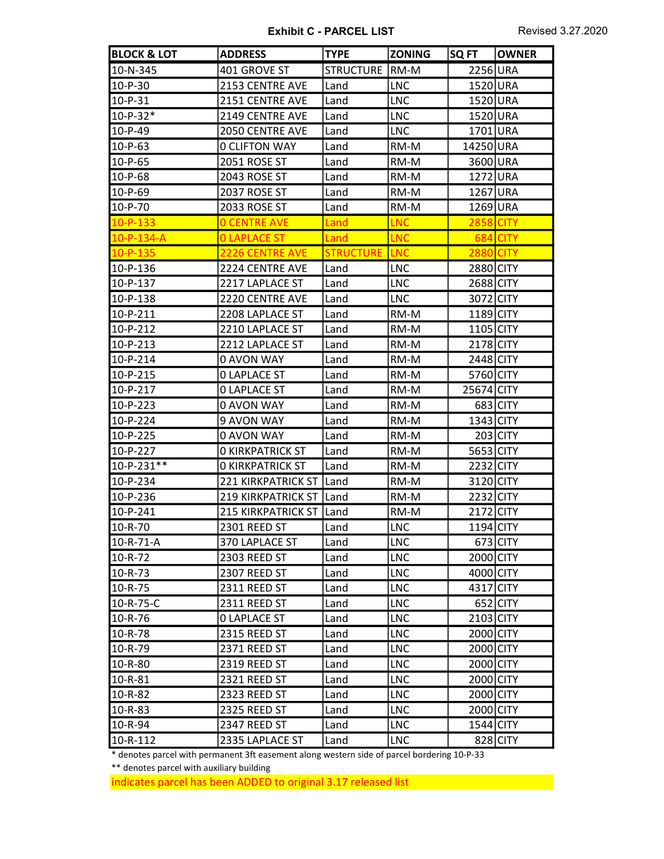| <b>BLOCK &amp; LOT</b> | <b>ADDRESS</b>            | <b>TYPE</b>      | <b>ZONING</b> | SQ FT            | <b>OWNER</b> |
|------------------------|---------------------------|------------------|---------------|------------------|--------------|
| 10-N-345               | 401 GROVE ST              | <b>STRUCTURE</b> | RM-M          | 2256 URA         |              |
| 10-P-30                | 2153 CENTRE AVE           | Land             | <b>LNC</b>    | 1520 URA         |              |
| $10-P-31$              | 2151 CENTRE AVE           | Land             | <b>LNC</b>    | 1520 URA         |              |
| $10-P-32*$             | 2149 CENTRE AVE           | Land             | <b>LNC</b>    | 1520 URA         |              |
| $10-P-49$              | 2050 CENTRE AVE           | Land             | <b>LNC</b>    | 1701 URA         |              |
| $10-P-63$              | <b>0 CLIFTON WAY</b>      | Land             | RM-M          | 14250 URA        |              |
| 10-P-65                | <b>2051 ROSE ST</b>       | Land             | RM-M          | 3600 URA         |              |
| 10-P-68                | 2043 ROSE ST              | Land             | RM-M          | 1272 URA         |              |
| 10-P-69                | 2037 ROSE ST              | Land             | RM-M          | 1267 URA         |              |
| 10-P-70                | 2033 ROSE ST              | Land             | RM-M          | 1269 URA         |              |
| $10-P-133$             | <b>O CENTRE AVE</b>       | Land             | <b>LNC</b>    | 2858             | <b>CITY</b>  |
| $10-P-134-A$           | <b>OLAPLACE ST</b>        | Land             | <b>LNC</b>    | 684              | <b>CITY</b>  |
| 10-P-135               | 2226 CENTRE AVE           | <b>STRUCTURE</b> | <b>LNC</b>    | <b>2880 CITY</b> |              |
| 10-P-136               | 2224 CENTRE AVE           | Land             | <b>LNC</b>    | 2880 CITY        |              |
| 10-P-137               | 2217 LAPLACE ST           | Land             | <b>LNC</b>    | 2688 CITY        |              |
| 10-P-138               | 2220 CENTRE AVE           | Land             | <b>LNC</b>    | 3072 CITY        |              |
| 10-P-211               | 2208 LAPLACE ST           | Land             | RM-M          | 1189 CITY        |              |
| 10-P-212               | 2210 LAPLACE ST           | Land             | RM-M          | 1105 CITY        |              |
| $10-P-213$             | 2212 LAPLACE ST           | Land             | RM-M          | 2178 CITY        |              |
| 10-P-214               | 0 AVON WAY                | Land             | RM-M          | 2448 CITY        |              |
| 10-P-215               | <b>0 LAPLACE ST</b>       | Land             | RM-M          | 5760 CITY        |              |
| 10-P-217               | <b>O LAPLACE ST</b>       | Land             | RM-M          | 25674 CITY       |              |
| 10-P-223               | 0 AVON WAY                | Land             | RM-M          |                  | 683 CITY     |
| 10-P-224               | 9 AVON WAY                | Land             | RM-M          | 1343 CITY        |              |
| 10-P-225               | 0 AVON WAY                | Land             | RM-M          |                  | 203 CITY     |
| 10-P-227               | <b>O KIRKPATRICK ST</b>   | Land             | RM-M          | 5653 CITY        |              |
| 10-P-231**             | <b>O KIRKPATRICK ST</b>   | Land             | RM-M          | 2232 CITY        |              |
| 10-P-234               | <b>221 KIRKPATRICK ST</b> | Land             | RM-M          | 3120 CITY        |              |
| 10-P-236               | <b>219 KIRKPATRICK ST</b> | Land             | RM-M          | 2232 CITY        |              |
| 10-P-241               | <b>215 KIRKPATRICK ST</b> | Land             | RM-M          | 2172 CITY        |              |
| 10-R-70                | 2301 REED ST              | Land             | LNC           | 1194 CITY        |              |
| 10-R-71-A              | 370 LAPLACE ST            | Land             | LNC           |                  | $673$ CITY   |
| 10-R-72                | 2303 REED ST              | Land             | <b>LNC</b>    | 2000 CITY        |              |
| $10 - R - 73$          | 2307 REED ST              | Land             | <b>LNC</b>    | 4000 CITY        |              |
| 10-R-75                | 2311 REED ST              | Land             | <b>LNC</b>    | 4317 CITY        |              |
| 10-R-75-C              | 2311 REED ST              | Land             | <b>LNC</b>    |                  | $652$ CITY   |
| 10-R-76                | <b>O LAPLACE ST</b>       | Land             | <b>LNC</b>    | 2103 CITY        |              |
| 10-R-78                | 2315 REED ST              | Land             | <b>LNC</b>    | 2000 CITY        |              |
| 10-R-79                | 2371 REED ST              | Land             | <b>LNC</b>    | 2000 CITY        |              |
| 10-R-80                | 2319 REED ST              | Land             | <b>LNC</b>    | 2000 CITY        |              |
| 10-R-81                | 2321 REED ST              | Land             | <b>LNC</b>    | 2000 CITY        |              |
| 10-R-82                | 2323 REED ST              | Land             | <b>LNC</b>    | 2000 CITY        |              |
| 10-R-83                | 2325 REED ST              | Land             | <b>LNC</b>    | 2000 CITY        |              |
| 10-R-94                | 2347 REED ST              | Land             | <b>LNC</b>    | 1544 CITY        |              |
| 10-R-112               | 2335 LAPLACE ST           | Land             | <b>LNC</b>    |                  | 828 CITY     |

\* denotes parcel with permanent 3ft easement along western side of parcel bordering 10-P-33

\*\* denotes parcel with auxiliary building

indicates parcel has been ADDED to original 3.17 released list